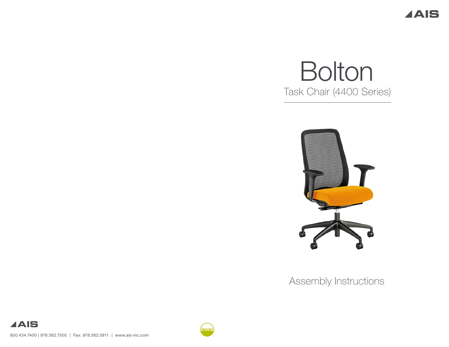**AAIS** 

# Bolton Task Chair (4400 Series)



Assembly Instructions